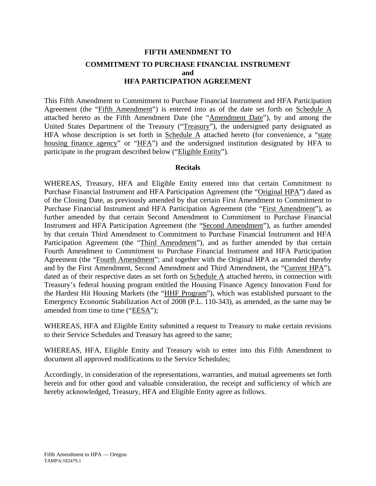# **FIFTH AMENDMENT TO COMMITMENT TO PURCHASE FINANCIAL INSTRUMENT and HFA PARTICIPATION AGREEMENT**

This Fifth Amendment to Commitment to Purchase Financial Instrument and HFA Participation Agreement (the "Fifth Amendment") is entered into as of the date set forth on Schedule A attached hereto as the Fifth Amendment Date (the "Amendment Date"), by and among the United States Department of the Treasury ("Treasury"), the undersigned party designated as HFA whose description is set forth in Schedule  $\overline{A}$  attached hereto (for convenience, a "state housing finance agency" or "HFA") and the undersigned institution designated by HFA to participate in the program described below ("Eligible Entity").

## **Recitals**

WHEREAS, Treasury, HFA and Eligible Entity entered into that certain Commitment to Purchase Financial Instrument and HFA Participation Agreement (the "Original HPA") dated as of the Closing Date, as previously amended by that certain First Amendment to Commitment to Purchase Financial Instrument and HFA Participation Agreement (the "First Amendment"), as further amended by that certain Second Amendment to Commitment to Purchase Financial Instrument and HFA Participation Agreement (the "Second Amendment"), as further amended by that certain Third Amendment to Commitment to Purchase Financial Instrument and HFA Participation Agreement (the "Third Amendment"), and as further amended by that certain Fourth Amendment to Commitment to Purchase Financial Instrument and HFA Participation Agreement (the "Fourth Amendment"; and together with the Original HPA as amended thereby and by the First Amendment, Second Amendment and Third Amendment, the "Current HPA"), dated as of their respective dates as set forth on Schedule A attached hereto, in connection with Treasury's federal housing program entitled the Housing Finance Agency Innovation Fund for the Hardest Hit Housing Markets (the "HHF Program"), which was established pursuant to the Emergency Economic Stabilization Act of 2008 (P.L. 110-343), as amended, as the same may be amended from time to time ("EESA");

WHEREAS, HFA and Eligible Entity submitted a request to Treasury to make certain revisions to their Service Schedules and Treasury has agreed to the same;

WHEREAS, HFA, Eligible Entity and Treasury wish to enter into this Fifth Amendment to document all approved modifications to the Service Schedules;

Accordingly, in consideration of the representations, warranties, and mutual agreements set forth herein and for other good and valuable consideration, the receipt and sufficiency of which are hereby acknowledged, Treasury, HFA and Eligible Entity agree as follows.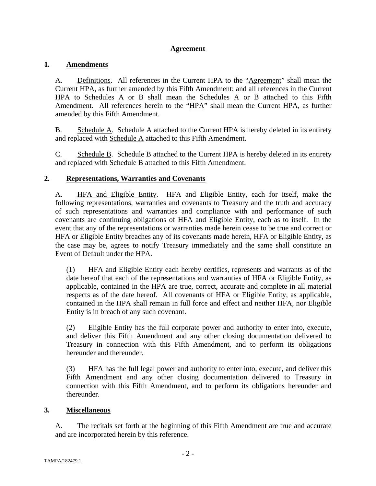# **Agreement**

# **1. Amendments**

A. Definitions. All references in the Current HPA to the "Agreement" shall mean the Current HPA, as further amended by this Fifth Amendment; and all references in the Current HPA to Schedules A or B shall mean the Schedules A or B attached to this Fifth Amendment. All references herein to the "HPA" shall mean the Current HPA, as further amended by this Fifth Amendment.

B. Schedule A. Schedule A attached to the Current HPA is hereby deleted in its entirety and replaced with Schedule A attached to this Fifth Amendment.

C. Schedule B. Schedule B attached to the Current HPA is hereby deleted in its entirety and replaced with Schedule B attached to this Fifth Amendment.

# **2. Representations, Warranties and Covenants**

A. HFA and Eligible Entity. HFA and Eligible Entity, each for itself, make the following representations, warranties and covenants to Treasury and the truth and accuracy of such representations and warranties and compliance with and performance of such covenants are continuing obligations of HFA and Eligible Entity, each as to itself. In the event that any of the representations or warranties made herein cease to be true and correct or HFA or Eligible Entity breaches any of its covenants made herein, HFA or Eligible Entity, as the case may be, agrees to notify Treasury immediately and the same shall constitute an Event of Default under the HPA.

(1) HFA and Eligible Entity each hereby certifies, represents and warrants as of the date hereof that each of the representations and warranties of HFA or Eligible Entity, as applicable, contained in the HPA are true, correct, accurate and complete in all material respects as of the date hereof. All covenants of HFA or Eligible Entity, as applicable, contained in the HPA shall remain in full force and effect and neither HFA, nor Eligible Entity is in breach of any such covenant.

(2) Eligible Entity has the full corporate power and authority to enter into, execute, and deliver this Fifth Amendment and any other closing documentation delivered to Treasury in connection with this Fifth Amendment, and to perform its obligations hereunder and thereunder.

(3) HFA has the full legal power and authority to enter into, execute, and deliver this Fifth Amendment and any other closing documentation delivered to Treasury in connection with this Fifth Amendment, and to perform its obligations hereunder and thereunder.

# **3. Miscellaneous**

A. The recitals set forth at the beginning of this Fifth Amendment are true and accurate and are incorporated herein by this reference.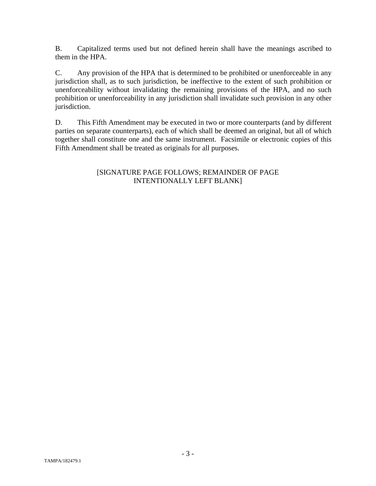B. Capitalized terms used but not defined herein shall have the meanings ascribed to them in the HPA.

C. Any provision of the HPA that is determined to be prohibited or unenforceable in any jurisdiction shall, as to such jurisdiction, be ineffective to the extent of such prohibition or unenforceability without invalidating the remaining provisions of the HPA, and no such prohibition or unenforceability in any jurisdiction shall invalidate such provision in any other jurisdiction.

D. This Fifth Amendment may be executed in two or more counterparts (and by different parties on separate counterparts), each of which shall be deemed an original, but all of which together shall constitute one and the same instrument. Facsimile or electronic copies of this Fifth Amendment shall be treated as originals for all purposes.

# [SIGNATURE PAGE FOLLOWS; REMAINDER OF PAGE INTENTIONALLY LEFT BLANK]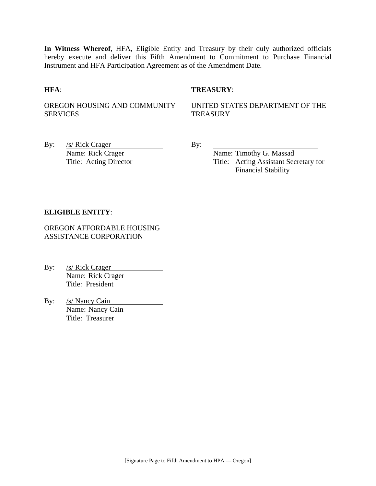**In Witness Whereof**, HFA, Eligible Entity and Treasury by their duly authorized officials hereby execute and deliver this Fifth Amendment to Commitment to Purchase Financial Instrument and HFA Participation Agreement as of the Amendment Date.

## **HFA**: **TREASURY**:

OREGON HOUSING AND COMMUNITY SERVICES

UNITED STATES DEPARTMENT OF THE **TREASURY** 

By:  $/s/Rick Crager$  By: Name: Rick Crager Name: Timothy G. Massad

Title: Acting Director Title: Acting Assistant Secretary for Financial Stability

## **ELIGIBLE ENTITY**:

OREGON AFFORDABLE HOUSING ASSISTANCE CORPORATION

By: /s/ Rick Crager Name: Rick Crager Title: President

By: /s/ Nancy Cain Name: Nancy Cain Title: Treasurer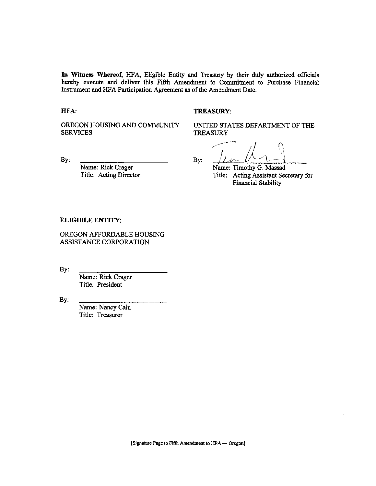In Witness Whereof, HFA, Eligible Entity and Treasury by their duly authorized officials hereby execute and deliver this Fifth Amendment to Commitment to Purchase Financial Instrument and HFA Participation Agreement as of the Amendment Date.

#### HFA.

### **TREASURY:**

OREGON HOUSING AND COMMUNITY **SERVICES** 

UNITED STATES DEPARTMENT OF THE **TREASURY** 

By:

Name: Rick Crager Title: Acting Director

By:

Name: Timothy G. Massad Title: Acting Assistant Secretary for **Financial Stability** 

#### **ELIGIBLE ENTITY:**

OREGON AFFORDABLE HOUSING ASSISTANCE CORPORATION

 $By:$ 

Name: Rick Crager Title: President

By:

Name: Nancy Cain Title: Treasurer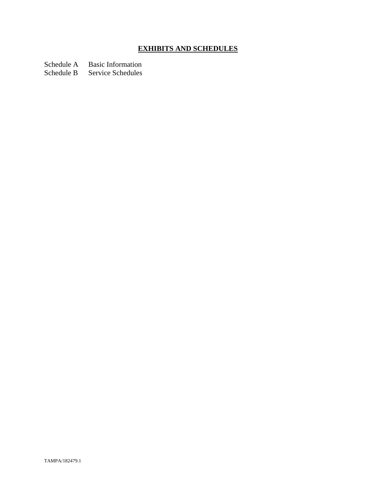# **EXHIBITS AND SCHEDULES**

Schedule A Basic Information

Schedule B Service Schedules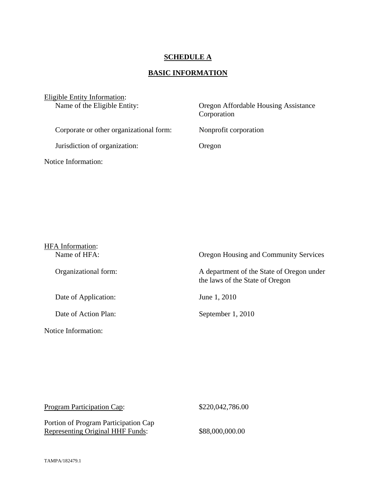# **SCHEDULE A**

# **BASIC INFORMATION**

| Eligible Entity Information:<br>Name of the Eligible Entity: | Oregon Affordable Housing Assistance<br>Corporation |
|--------------------------------------------------------------|-----------------------------------------------------|
| Corporate or other organizational form:                      | Nonprofit corporation                               |
| Jurisdiction of organization:                                | Oregon                                              |
| Notice Information:                                          |                                                     |

| <b>HFA</b> Information:<br>Name of HFA: | Oregon Housing and Community Services                                        |
|-----------------------------------------|------------------------------------------------------------------------------|
| Organizational form:                    | A department of the State of Oregon under<br>the laws of the State of Oregon |
| Date of Application:                    | June 1, 2010                                                                 |
| Date of Action Plan:                    | September 1, 2010                                                            |
| Notice Information:                     |                                                                              |

| <b>Program Participation Cap:</b>                                        | \$220,042,786.00 |
|--------------------------------------------------------------------------|------------------|
| Portion of Program Participation Cap<br>Representing Original HHF Funds: | \$88,000,000.00  |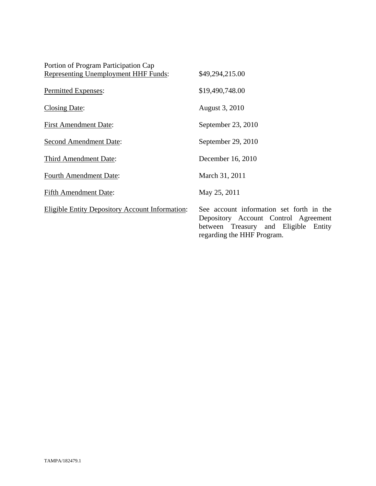| Portion of Program Participation Cap                   |                                                                                                                                                        |
|--------------------------------------------------------|--------------------------------------------------------------------------------------------------------------------------------------------------------|
| <b>Representing Unemployment HHF Funds:</b>            | \$49,294,215.00                                                                                                                                        |
| Permitted Expenses:                                    | \$19,490,748.00                                                                                                                                        |
| <b>Closing Date:</b>                                   | August 3, 2010                                                                                                                                         |
| <b>First Amendment Date:</b>                           | September 23, 2010                                                                                                                                     |
| <b>Second Amendment Date:</b>                          | September 29, 2010                                                                                                                                     |
| Third Amendment Date:                                  | December 16, 2010                                                                                                                                      |
| <b>Fourth Amendment Date:</b>                          | March 31, 2011                                                                                                                                         |
| <b>Fifth Amendment Date:</b>                           | May 25, 2011                                                                                                                                           |
| <b>Eligible Entity Depository Account Information:</b> | See account information set forth in the<br>Depository Account Control Agreement<br>between Treasury and Eligible Entity<br>regarding the HHF Program. |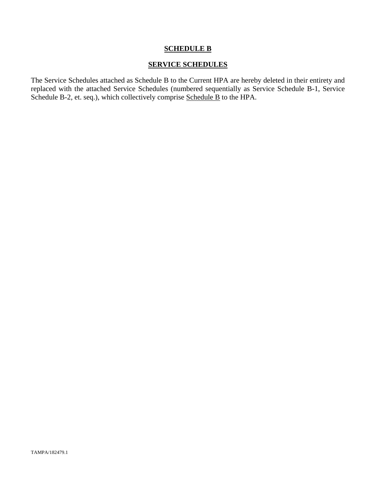# **SCHEDULE B**

# **SERVICE SCHEDULES**

The Service Schedules attached as Schedule B to the Current HPA are hereby deleted in their entirety and replaced with the attached Service Schedules (numbered sequentially as Service Schedule B-1, Service Schedule B-2, et. seq.), which collectively comprise Schedule B to the HPA.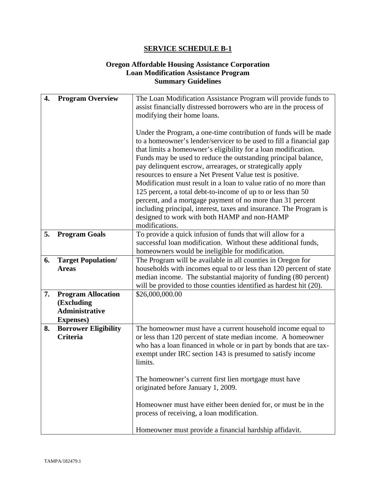# **Oregon Affordable Housing Assistance Corporation Loan Modification Assistance Program Summary Guidelines**

| 4. | <b>Program Overview</b>                                                               | The Loan Modification Assistance Program will provide funds to<br>assist financially distressed borrowers who are in the process of<br>modifying their home loans.                                                                                                                                                                                                                                                                                                                                                                                                                                                                                                                                                                               |
|----|---------------------------------------------------------------------------------------|--------------------------------------------------------------------------------------------------------------------------------------------------------------------------------------------------------------------------------------------------------------------------------------------------------------------------------------------------------------------------------------------------------------------------------------------------------------------------------------------------------------------------------------------------------------------------------------------------------------------------------------------------------------------------------------------------------------------------------------------------|
|    |                                                                                       | Under the Program, a one-time contribution of funds will be made<br>to a homeowner's lender/servicer to be used to fill a financial gap<br>that limits a homeowner's eligibility for a loan modification.<br>Funds may be used to reduce the outstanding principal balance,<br>pay delinquent escrow, arrearages, or strategically apply<br>resources to ensure a Net Present Value test is positive.<br>Modification must result in a loan to value ratio of no more than<br>125 percent, a total debt-to-income of up to or less than 50<br>percent, and a mortgage payment of no more than 31 percent<br>including principal, interest, taxes and insurance. The Program is<br>designed to work with both HAMP and non-HAMP<br>modifications. |
| 5. | <b>Program Goals</b>                                                                  | To provide a quick infusion of funds that will allow for a<br>successful loan modification. Without these additional funds,<br>homeowners would be ineligible for modification.                                                                                                                                                                                                                                                                                                                                                                                                                                                                                                                                                                  |
| 6. | <b>Target Population/</b><br><b>Areas</b>                                             | The Program will be available in all counties in Oregon for<br>households with incomes equal to or less than 120 percent of state<br>median income. The substantial majority of funding (80 percent)<br>will be provided to those counties identified as hardest hit (20).                                                                                                                                                                                                                                                                                                                                                                                                                                                                       |
| 7. | <b>Program Allocation</b><br>(Excluding<br><b>Administrative</b><br><b>Expenses</b> ) | \$26,000,000.00                                                                                                                                                                                                                                                                                                                                                                                                                                                                                                                                                                                                                                                                                                                                  |
| 8. | <b>Borrower Eligibility</b><br>Criteria                                               | The homeowner must have a current household income equal to<br>or less than 120 percent of state median income. A homeowner<br>who has a loan financed in whole or in part by bonds that are tax-<br>exempt under IRC section 143 is presumed to satisfy income<br>limits.                                                                                                                                                                                                                                                                                                                                                                                                                                                                       |
|    |                                                                                       | The homeowner's current first lien mortgage must have<br>originated before January 1, 2009.                                                                                                                                                                                                                                                                                                                                                                                                                                                                                                                                                                                                                                                      |
|    |                                                                                       | Homeowner must have either been denied for, or must be in the<br>process of receiving, a loan modification.                                                                                                                                                                                                                                                                                                                                                                                                                                                                                                                                                                                                                                      |
|    |                                                                                       | Homeowner must provide a financial hardship affidavit.                                                                                                                                                                                                                                                                                                                                                                                                                                                                                                                                                                                                                                                                                           |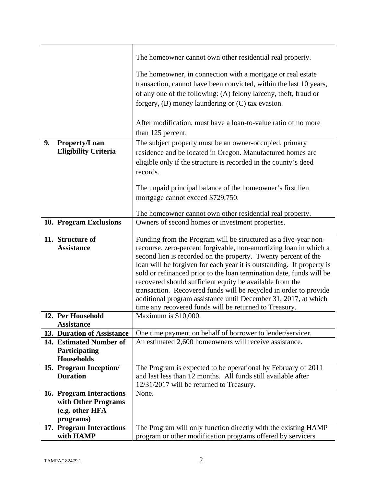|    |                                    | The homeowner cannot own other residential real property.                                                                        |
|----|------------------------------------|----------------------------------------------------------------------------------------------------------------------------------|
|    |                                    | The homeowner, in connection with a mortgage or real estate                                                                      |
|    |                                    | transaction, cannot have been convicted, within the last 10 years,                                                               |
|    |                                    | of any one of the following: (A) felony larceny, theft, fraud or                                                                 |
|    |                                    | forgery, $(B)$ money laundering or $(C)$ tax evasion.                                                                            |
|    |                                    |                                                                                                                                  |
|    |                                    | After modification, must have a loan-to-value ratio of no more                                                                   |
|    |                                    | than 125 percent.                                                                                                                |
| 9. | Property/Loan                      | The subject property must be an owner-occupied, primary                                                                          |
|    | <b>Eligibility Criteria</b>        | residence and be located in Oregon. Manufactured homes are                                                                       |
|    |                                    | eligible only if the structure is recorded in the county's deed                                                                  |
|    |                                    | records.                                                                                                                         |
|    |                                    |                                                                                                                                  |
|    |                                    | The unpaid principal balance of the homeowner's first lien                                                                       |
|    |                                    | mortgage cannot exceed \$729,750.                                                                                                |
|    |                                    | The homeowner cannot own other residential real property.                                                                        |
|    | 10. Program Exclusions             | Owners of second homes or investment properties.                                                                                 |
|    |                                    |                                                                                                                                  |
|    | 11. Structure of                   | Funding from the Program will be structured as a five-year non-                                                                  |
|    | <b>Assistance</b>                  | recourse, zero-percent forgivable, non-amortizing loan in which a                                                                |
|    |                                    | second lien is recorded on the property. Twenty percent of the                                                                   |
|    |                                    | loan will be forgiven for each year it is outstanding. If property is                                                            |
|    |                                    | sold or refinanced prior to the loan termination date, funds will be<br>recovered should sufficient equity be available from the |
|    |                                    | transaction. Recovered funds will be recycled in order to provide                                                                |
|    |                                    | additional program assistance until December 31, 2017, at which                                                                  |
|    |                                    | time any recovered funds will be returned to Treasury.                                                                           |
|    | 12. Per Household                  | Maximum is \$10,000.                                                                                                             |
|    | <b>Assistance</b>                  |                                                                                                                                  |
|    | 13. Duration of Assistance         | One time payment on behalf of borrower to lender/servicer.                                                                       |
|    | 14. Estimated Number of            | An estimated 2,600 homeowners will receive assistance.                                                                           |
|    | Participating<br><b>Households</b> |                                                                                                                                  |
|    | 15. Program Inception/             | The Program is expected to be operational by February of 2011                                                                    |
|    | <b>Duration</b>                    | and last less than 12 months. All funds still available after                                                                    |
|    |                                    | 12/31/2017 will be returned to Treasury.                                                                                         |
|    | 16. Program Interactions           | None.                                                                                                                            |
|    | with Other Programs                |                                                                                                                                  |
|    | (e.g. other HFA                    |                                                                                                                                  |
|    | programs)                          |                                                                                                                                  |
|    | 17. Program Interactions           | The Program will only function directly with the existing HAMP                                                                   |
|    | with HAMP                          | program or other modification programs offered by servicers                                                                      |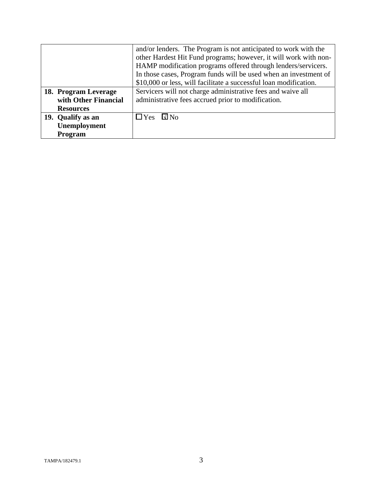|                      | and/or lenders. The Program is not anticipated to work with the   |
|----------------------|-------------------------------------------------------------------|
|                      | other Hardest Hit Fund programs; however, it will work with non-  |
|                      | HAMP modification programs offered through lenders/servicers.     |
|                      | In those cases, Program funds will be used when an investment of  |
|                      | \$10,000 or less, will facilitate a successful loan modification. |
| 18. Program Leverage | Servicers will not charge administrative fees and waive all       |
| with Other Financial | administrative fees accrued prior to modification.                |
| <b>Resources</b>     |                                                                   |
| 19. Qualify as an    | $\Box$ Yes<br>$\square$ No                                        |
| Unemployment         |                                                                   |
| Program              |                                                                   |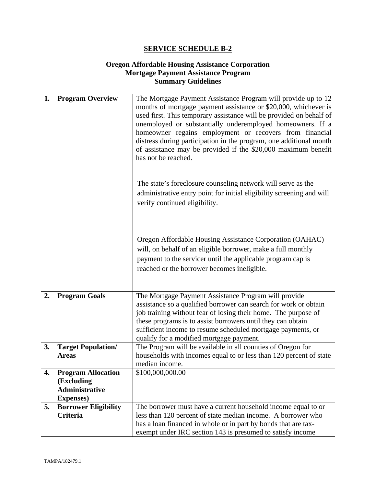# **Oregon Affordable Housing Assistance Corporation Mortgage Payment Assistance Program Summary Guidelines**

| 1. | <b>Program Overview</b>                 | The Mortgage Payment Assistance Program will provide up to 12<br>months of mortgage payment assistance or \$20,000, whichever is |
|----|-----------------------------------------|----------------------------------------------------------------------------------------------------------------------------------|
|    |                                         | used first. This temporary assistance will be provided on behalf of                                                              |
|    |                                         | unemployed or substantially underemployed homeowners. If a                                                                       |
|    |                                         | homeowner regains employment or recovers from financial<br>distress during participation in the program, one additional month    |
|    |                                         | of assistance may be provided if the \$20,000 maximum benefit                                                                    |
|    |                                         | has not be reached.                                                                                                              |
|    |                                         |                                                                                                                                  |
|    |                                         | The state's foreclosure counseling network will serve as the                                                                     |
|    |                                         | administrative entry point for initial eligibility screening and will                                                            |
|    |                                         | verify continued eligibility.                                                                                                    |
|    |                                         |                                                                                                                                  |
|    |                                         |                                                                                                                                  |
|    |                                         | Oregon Affordable Housing Assistance Corporation (OAHAC)                                                                         |
|    |                                         | will, on behalf of an eligible borrower, make a full monthly                                                                     |
|    |                                         | payment to the servicer until the applicable program cap is                                                                      |
|    |                                         | reached or the borrower becomes ineligible.                                                                                      |
|    |                                         |                                                                                                                                  |
| 2. | <b>Program Goals</b>                    | The Mortgage Payment Assistance Program will provide                                                                             |
|    |                                         | assistance so a qualified borrower can search for work or obtain                                                                 |
|    |                                         | job training without fear of losing their home. The purpose of<br>these programs is to assist borrowers until they can obtain    |
|    |                                         | sufficient income to resume scheduled mortgage payments, or                                                                      |
|    |                                         | qualify for a modified mortgage payment.                                                                                         |
| 3. | <b>Target Population/</b>               | The Program will be available in all counties of Oregon for                                                                      |
|    | <b>Areas</b>                            | households with incomes equal to or less than 120 percent of state<br>median income.                                             |
| 4. | <b>Program Allocation</b>               | \$100,000,000.00                                                                                                                 |
|    | (Excluding                              |                                                                                                                                  |
|    | <b>Administrative</b>                   |                                                                                                                                  |
|    | <b>Expenses</b> )                       |                                                                                                                                  |
| 5. | <b>Borrower Eligibility</b><br>Criteria | The borrower must have a current household income equal to or                                                                    |
|    |                                         | less than 120 percent of state median income. A borrower who<br>has a loan financed in whole or in part by bonds that are tax-   |
|    |                                         | exempt under IRC section 143 is presumed to satisfy income                                                                       |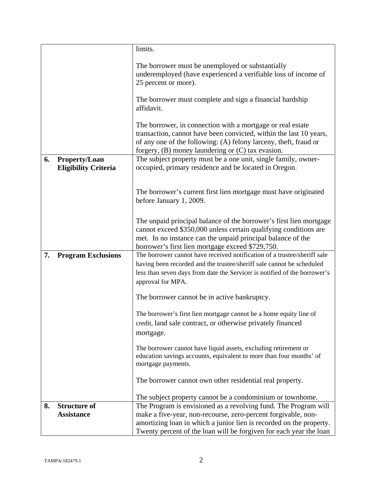|    |                                                     | limits.                                                                                                                                                                                                                                                       |
|----|-----------------------------------------------------|---------------------------------------------------------------------------------------------------------------------------------------------------------------------------------------------------------------------------------------------------------------|
|    |                                                     | The borrower must be unemployed or substantially<br>underemployed (have experienced a verifiable loss of income of<br>25 percent or more).                                                                                                                    |
|    |                                                     | The borrower must complete and sign a financial hardship<br>affidavit.                                                                                                                                                                                        |
|    |                                                     | The borrower, in connection with a mortgage or real estate<br>transaction, cannot have been convicted, within the last 10 years,<br>of any one of the following: (A) felony larceny, theft, fraud or<br>forgery, $(B)$ money laundering or $(C)$ tax evasion. |
| 6. | <b>Property/Loan</b><br><b>Eligibility Criteria</b> | The subject property must be a one unit, single family, owner-<br>occupied, primary residence and be located in Oregon.                                                                                                                                       |
|    |                                                     | The borrower's current first lien mortgage must have originated<br>before January 1, 2009.                                                                                                                                                                    |
|    |                                                     | The unpaid principal balance of the borrower's first lien mortgage<br>cannot exceed \$350,000 unless certain qualifying conditions are<br>met. In no instance can the unpaid principal balance of the<br>borrower's first lien mortgage exceed \$729,750.     |
| 7. | <b>Program Exclusions</b>                           | The borrower cannot have received notification of a trustee/sheriff sale                                                                                                                                                                                      |
|    |                                                     | having been recorded and the trustee/sheriff sale cannot be scheduled<br>less than seven days from date the Servicer is notified of the borrower's<br>approval for MPA.                                                                                       |
|    |                                                     | The borrower cannot be in active bankruptcy.                                                                                                                                                                                                                  |
|    |                                                     | The borrower's first lien mortgage cannot be a home equity line of<br>credit, land sale contract, or otherwise privately financed<br>mortgage.                                                                                                                |
|    |                                                     | The borrower cannot have liquid assets, excluding retirement or<br>education savings accounts, equivalent to more than four months' of<br>mortgage payments.                                                                                                  |
|    |                                                     | The borrower cannot own other residential real property.                                                                                                                                                                                                      |
|    |                                                     | The subject property cannot be a condominium or townhome.                                                                                                                                                                                                     |
| 8. | <b>Structure of</b><br><b>Assistance</b>            | The Program is envisioned as a revolving fund. The Program will<br>make a five-year, non-recourse, zero-percent forgivable, non-<br>amortizing loan in which a junior lien is recorded on the property.                                                       |
|    |                                                     | Twenty percent of the loan will be forgiven for each year the loan                                                                                                                                                                                            |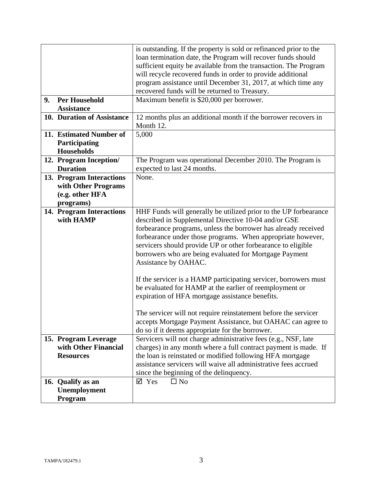| 9. | <b>Per Household</b>                                                            | is outstanding. If the property is sold or refinanced prior to the<br>loan termination date, the Program will recover funds should<br>sufficient equity be available from the transaction. The Program<br>will recycle recovered funds in order to provide additional<br>program assistance until December 31, 2017, at which time any<br>recovered funds will be returned to Treasury.<br>Maximum benefit is \$20,000 per borrower.                                                                                                                                                                                                                                                                                            |
|----|---------------------------------------------------------------------------------|---------------------------------------------------------------------------------------------------------------------------------------------------------------------------------------------------------------------------------------------------------------------------------------------------------------------------------------------------------------------------------------------------------------------------------------------------------------------------------------------------------------------------------------------------------------------------------------------------------------------------------------------------------------------------------------------------------------------------------|
|    | <b>Assistance</b>                                                               |                                                                                                                                                                                                                                                                                                                                                                                                                                                                                                                                                                                                                                                                                                                                 |
|    | 10. Duration of Assistance                                                      | 12 months plus an additional month if the borrower recovers in<br>Month 12.                                                                                                                                                                                                                                                                                                                                                                                                                                                                                                                                                                                                                                                     |
|    | 11. Estimated Number of<br>Participating<br><b>Households</b>                   | 5,000                                                                                                                                                                                                                                                                                                                                                                                                                                                                                                                                                                                                                                                                                                                           |
|    | 12. Program Inception/<br><b>Duration</b>                                       | The Program was operational December 2010. The Program is<br>expected to last 24 months.                                                                                                                                                                                                                                                                                                                                                                                                                                                                                                                                                                                                                                        |
|    | 13. Program Interactions<br>with Other Programs<br>(e.g. other HFA<br>programs) | None.                                                                                                                                                                                                                                                                                                                                                                                                                                                                                                                                                                                                                                                                                                                           |
|    | 14. Program Interactions<br>with HAMP                                           | HHF Funds will generally be utilized prior to the UP forbearance<br>described in Supplemental Directive 10-04 and/or GSE<br>forbearance programs, unless the borrower has already received<br>forbearance under those programs. When appropriate however,<br>servicers should provide UP or other forbearance to eligible<br>borrowers who are being evaluated for Mortgage Payment<br>Assistance by OAHAC.<br>If the servicer is a HAMP participating servicer, borrowers must<br>be evaluated for HAMP at the earlier of reemployment or<br>expiration of HFA mortgage assistance benefits.<br>The servicer will not require reinstatement before the servicer<br>accepts Mortgage Payment Assistance, but OAHAC can agree to |
|    | 15. Program Leverage<br>with Other Financial<br><b>Resources</b>                | do so if it deems appropriate for the borrower.<br>Servicers will not charge administrative fees (e.g., NSF, late<br>charges) in any month where a full contract payment is made. If<br>the loan is reinstated or modified following HFA mortgage<br>assistance servicers will waive all administrative fees accrued<br>since the beginning of the delinquency.                                                                                                                                                                                                                                                                                                                                                                 |
|    | 16. Qualify as an<br>Unemployment<br>Program                                    | $\boxtimes$ Yes<br>$\square$ No                                                                                                                                                                                                                                                                                                                                                                                                                                                                                                                                                                                                                                                                                                 |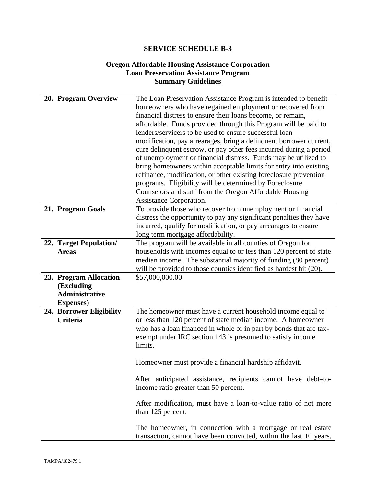# **Oregon Affordable Housing Assistance Corporation Loan Preservation Assistance Program Summary Guidelines**

| 20. Program Overview                                                               | The Loan Preservation Assistance Program is intended to benefit<br>homeowners who have regained employment or recovered from<br>financial distress to ensure their loans become, or remain,<br>affordable. Funds provided through this Program will be paid to<br>lenders/servicers to be used to ensure successful loan<br>modification, pay arrearages, bring a delinquent borrower current,<br>cure delinquent escrow, or pay other fees incurred during a period<br>of unemployment or financial distress. Funds may be utilized to                                                                                                                                     |
|------------------------------------------------------------------------------------|-----------------------------------------------------------------------------------------------------------------------------------------------------------------------------------------------------------------------------------------------------------------------------------------------------------------------------------------------------------------------------------------------------------------------------------------------------------------------------------------------------------------------------------------------------------------------------------------------------------------------------------------------------------------------------|
|                                                                                    | bring homeowners within acceptable limits for entry into existing<br>refinance, modification, or other existing foreclosure prevention<br>programs. Eligibility will be determined by Foreclosure<br>Counselors and staff from the Oregon Affordable Housing<br>Assistance Corporation.                                                                                                                                                                                                                                                                                                                                                                                     |
| 21. Program Goals                                                                  | To provide those who recover from unemployment or financial<br>distress the opportunity to pay any significant penalties they have<br>incurred, qualify for modification, or pay arrearages to ensure<br>long term mortgage affordability.                                                                                                                                                                                                                                                                                                                                                                                                                                  |
| 22. Target Population/<br><b>Areas</b>                                             | The program will be available in all counties of Oregon for<br>households with incomes equal to or less than 120 percent of state<br>median income. The substantial majority of funding (80 percent)<br>will be provided to those counties identified as hardest hit (20).                                                                                                                                                                                                                                                                                                                                                                                                  |
| 23. Program Allocation<br>(Excluding<br><b>Administrative</b><br><b>Expenses</b> ) | \$57,000,000.00                                                                                                                                                                                                                                                                                                                                                                                                                                                                                                                                                                                                                                                             |
| 24. Borrower Eligibility<br><b>Criteria</b>                                        | The homeowner must have a current household income equal to<br>or less than 120 percent of state median income. A homeowner<br>who has a loan financed in whole or in part by bonds that are tax-<br>exempt under IRC section 143 is presumed to satisfy income<br>limits.<br>Homeowner must provide a financial hardship affidavit.<br>After anticipated assistance, recipients cannot have debt-to-<br>income ratio greater than 50 percent.<br>After modification, must have a loan-to-value ratio of not more<br>than 125 percent.<br>The homeowner, in connection with a mortgage or real estate<br>transaction, cannot have been convicted, within the last 10 years, |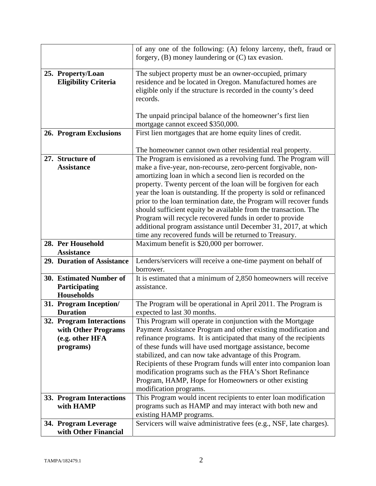|                                              | of any one of the following: (A) felony larceny, theft, fraud or    |
|----------------------------------------------|---------------------------------------------------------------------|
|                                              | forgery, $(B)$ money laundering or $(C)$ tax evasion.               |
|                                              |                                                                     |
| 25. Property/Loan                            | The subject property must be an owner-occupied, primary             |
| <b>Eligibility Criteria</b>                  | residence and be located in Oregon. Manufactured homes are          |
|                                              | eligible only if the structure is recorded in the county's deed     |
|                                              |                                                                     |
|                                              | records.                                                            |
|                                              |                                                                     |
|                                              | The unpaid principal balance of the homeowner's first lien          |
|                                              | mortgage cannot exceed \$350,000.                                   |
| 26. Program Exclusions                       | First lien mortgages that are home equity lines of credit.          |
|                                              |                                                                     |
|                                              |                                                                     |
|                                              | The homeowner cannot own other residential real property.           |
| 27. Structure of                             | The Program is envisioned as a revolving fund. The Program will     |
| <b>Assistance</b>                            | make a five-year, non-recourse, zero-percent forgivable, non-       |
|                                              | amortizing loan in which a second lien is recorded on the           |
|                                              | property. Twenty percent of the loan will be forgiven for each      |
|                                              | year the loan is outstanding. If the property is sold or refinanced |
|                                              | prior to the loan termination date, the Program will recover funds  |
|                                              |                                                                     |
|                                              | should sufficient equity be available from the transaction. The     |
|                                              | Program will recycle recovered funds in order to provide            |
|                                              | additional program assistance until December 31, 2017, at which     |
|                                              | time any recovered funds will be returned to Treasury.              |
| 28. Per Household                            | Maximum benefit is \$20,000 per borrower.                           |
|                                              |                                                                     |
|                                              |                                                                     |
| <b>Assistance</b>                            |                                                                     |
| 29. Duration of Assistance                   | Lenders/servicers will receive a one-time payment on behalf of      |
|                                              | borrower.                                                           |
| 30. Estimated Number of                      | It is estimated that a minimum of 2,850 homeowners will receive     |
| Participating                                | assistance.                                                         |
| <b>Households</b>                            |                                                                     |
| 31. Program Inception/                       | The Program will be operational in April 2011. The Program is       |
| <b>Duration</b>                              |                                                                     |
|                                              | expected to last 30 months.                                         |
| 32. Program Interactions                     | This Program will operate in conjunction with the Mortgage          |
| with Other Programs                          | Payment Assistance Program and other existing modification and      |
| (e.g. other HFA                              | refinance programs. It is anticipated that many of the recipients   |
| programs)                                    | of these funds will have used mortgage assistance, become           |
|                                              | stabilized, and can now take advantage of this Program.             |
|                                              | Recipients of these Program funds will enter into companion loan    |
|                                              | modification programs such as the FHA's Short Refinance             |
|                                              |                                                                     |
|                                              | Program, HAMP, Hope for Homeowners or other existing                |
|                                              | modification programs.                                              |
| 33. Program Interactions                     | This Program would incent recipients to enter loan modification     |
| with HAMP                                    | programs such as HAMP and may interact with both new and            |
|                                              | existing HAMP programs.                                             |
| 34. Program Leverage<br>with Other Financial | Servicers will waive administrative fees (e.g., NSF, late charges). |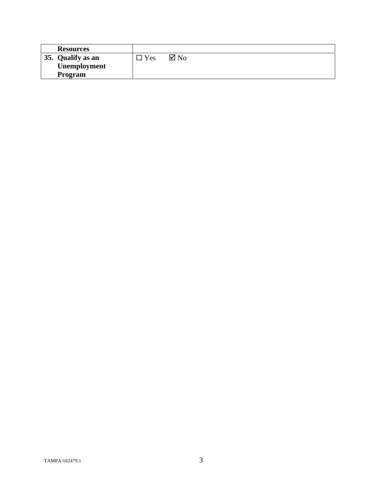| <b>Resources</b>  |     |                |
|-------------------|-----|----------------|
| 35. Qualify as an | Yes | $\boxtimes$ No |
| Unemployment      |     |                |
| Program           |     |                |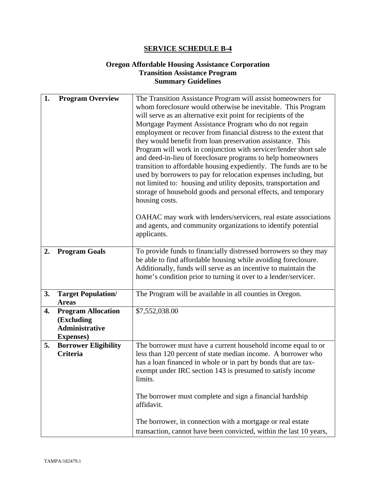# **Oregon Affordable Housing Assistance Corporation Transition Assistance Program Summary Guidelines**

| 1. | <b>Program Overview</b>                                                               | The Transition Assistance Program will assist homeowners for<br>whom foreclosure would otherwise be inevitable. This Program<br>will serve as an alternative exit point for recipients of the<br>Mortgage Payment Assistance Program who do not regain<br>employment or recover from financial distress to the extent that<br>they would benefit from loan preservation assistance. This<br>Program will work in conjunction with servicer/lender short sale<br>and deed-in-lieu of foreclosure programs to help homeowners<br>transition to affordable housing expediently. The funds are to be<br>used by borrowers to pay for relocation expenses including, but<br>not limited to: housing and utility deposits, transportation and<br>storage of household goods and personal effects, and temporary<br>housing costs. |
|----|---------------------------------------------------------------------------------------|-----------------------------------------------------------------------------------------------------------------------------------------------------------------------------------------------------------------------------------------------------------------------------------------------------------------------------------------------------------------------------------------------------------------------------------------------------------------------------------------------------------------------------------------------------------------------------------------------------------------------------------------------------------------------------------------------------------------------------------------------------------------------------------------------------------------------------|
|    |                                                                                       | OAHAC may work with lenders/servicers, real estate associations<br>and agents, and community organizations to identify potential<br>applicants.                                                                                                                                                                                                                                                                                                                                                                                                                                                                                                                                                                                                                                                                             |
| 2. | <b>Program Goals</b>                                                                  | To provide funds to financially distressed borrowers so they may<br>be able to find affordable housing while avoiding foreclosure.<br>Additionally, funds will serve as an incentive to maintain the<br>home's condition prior to turning it over to a lender/servicer.                                                                                                                                                                                                                                                                                                                                                                                                                                                                                                                                                     |
| 3. | <b>Target Population/</b><br><b>Areas</b>                                             | The Program will be available in all counties in Oregon.                                                                                                                                                                                                                                                                                                                                                                                                                                                                                                                                                                                                                                                                                                                                                                    |
| 4. | <b>Program Allocation</b><br>(Excluding<br><b>Administrative</b><br><b>Expenses</b> ) | \$7,552,038.00                                                                                                                                                                                                                                                                                                                                                                                                                                                                                                                                                                                                                                                                                                                                                                                                              |
| 5. | <b>Borrower Eligibility</b><br><b>Criteria</b>                                        | The borrower must have a current household income equal to or<br>less than 120 percent of state median income. A borrower who<br>has a loan financed in whole or in part by bonds that are tax-<br>exempt under IRC section 143 is presumed to satisfy income<br>limits.<br>The borrower must complete and sign a financial hardship<br>affidavit.                                                                                                                                                                                                                                                                                                                                                                                                                                                                          |
|    |                                                                                       | The borrower, in connection with a mortgage or real estate<br>transaction, cannot have been convicted, within the last 10 years,                                                                                                                                                                                                                                                                                                                                                                                                                                                                                                                                                                                                                                                                                            |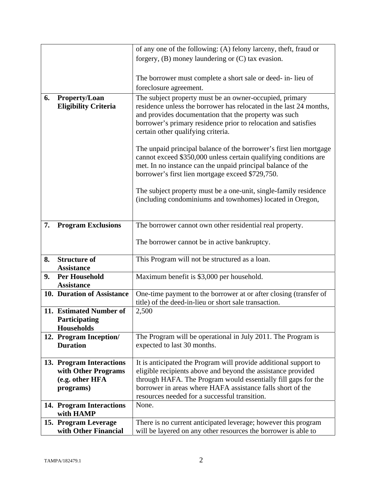|    |                                                               | of any one of the following: (A) felony larceny, theft, fraud or                                                                                                                                                                                          |
|----|---------------------------------------------------------------|-----------------------------------------------------------------------------------------------------------------------------------------------------------------------------------------------------------------------------------------------------------|
|    |                                                               | forgery, $(B)$ money laundering or $(C)$ tax evasion.                                                                                                                                                                                                     |
|    |                                                               |                                                                                                                                                                                                                                                           |
|    |                                                               | The borrower must complete a short sale or deed- in-lieu of                                                                                                                                                                                               |
|    |                                                               | foreclosure agreement.                                                                                                                                                                                                                                    |
| 6. | Property/Loan                                                 | The subject property must be an owner-occupied, primary                                                                                                                                                                                                   |
|    | <b>Eligibility Criteria</b>                                   | residence unless the borrower has relocated in the last 24 months,<br>and provides documentation that the property was such<br>borrower's primary residence prior to relocation and satisfies<br>certain other qualifying criteria.                       |
|    |                                                               | The unpaid principal balance of the borrower's first lien mortgage<br>cannot exceed \$350,000 unless certain qualifying conditions are<br>met. In no instance can the unpaid principal balance of the<br>borrower's first lien mortgage exceed \$729,750. |
|    |                                                               | The subject property must be a one-unit, single-family residence<br>(including condominiums and townhomes) located in Oregon,                                                                                                                             |
| 7. | <b>Program Exclusions</b>                                     | The borrower cannot own other residential real property.                                                                                                                                                                                                  |
|    |                                                               | The borrower cannot be in active bankruptcy.                                                                                                                                                                                                              |
| 8. | <b>Structure of</b><br><b>Assistance</b>                      | This Program will not be structured as a loan.                                                                                                                                                                                                            |
| 9. | <b>Per Household</b><br><b>Assistance</b>                     | Maximum benefit is \$3,000 per household.                                                                                                                                                                                                                 |
|    | 10. Duration of Assistance                                    | One-time payment to the borrower at or after closing (transfer of<br>title) of the deed-in-lieu or short sale transaction.                                                                                                                                |
|    | 11. Estimated Number of<br>Participating<br><b>Households</b> | 2,500                                                                                                                                                                                                                                                     |
|    | 12. Program Inception/<br><b>Duration</b>                     | The Program will be operational in July 2011. The Program is<br>expected to last 30 months.                                                                                                                                                               |
|    | 13. Program Interactions                                      | It is anticipated the Program will provide additional support to                                                                                                                                                                                          |
|    | with Other Programs                                           | eligible recipients above and beyond the assistance provided                                                                                                                                                                                              |
|    | (e.g. other HFA                                               | through HAFA. The Program would essentially fill gaps for the                                                                                                                                                                                             |
|    | programs)                                                     | borrower in areas where HAFA assistance falls short of the                                                                                                                                                                                                |
|    |                                                               | resources needed for a successful transition.<br>None.                                                                                                                                                                                                    |
|    | 14. Program Interactions<br>with HAMP                         |                                                                                                                                                                                                                                                           |
|    | 15. Program Leverage                                          | There is no current anticipated leverage; however this program                                                                                                                                                                                            |
|    | with Other Financial                                          | will be layered on any other resources the borrower is able to                                                                                                                                                                                            |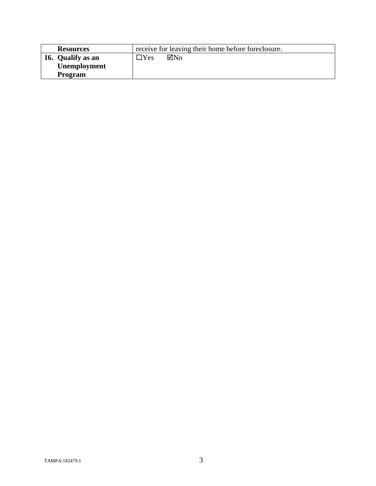| <b>Resources</b>    | receive for leaving their home before foreclosure. |  |
|---------------------|----------------------------------------------------|--|
| 16. Qualify as an   | $\boxtimes$ No<br>$\exists$ Yes                    |  |
| <b>Unemployment</b> |                                                    |  |
| <b>Program</b>      |                                                    |  |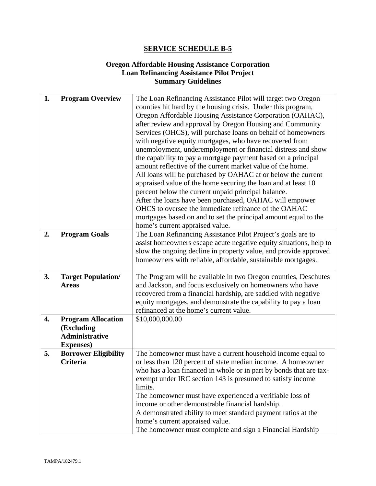# **Oregon Affordable Housing Assistance Corporation Loan Refinancing Assistance Pilot Project Summary Guidelines**

| 1. | <b>Program Overview</b>     | The Loan Refinancing Assistance Pilot will target two Oregon       |  |
|----|-----------------------------|--------------------------------------------------------------------|--|
|    |                             | counties hit hard by the housing crisis. Under this program,       |  |
|    |                             | Oregon Affordable Housing Assistance Corporation (OAHAC),          |  |
|    |                             | after review and approval by Oregon Housing and Community          |  |
|    |                             | Services (OHCS), will purchase loans on behalf of homeowners       |  |
|    |                             | with negative equity mortgages, who have recovered from            |  |
|    |                             | unemployment, underemployment or financial distress and show       |  |
|    |                             | the capability to pay a mortgage payment based on a principal      |  |
|    |                             | amount reflective of the current market value of the home.         |  |
|    |                             | All loans will be purchased by OAHAC at or below the current       |  |
|    |                             | appraised value of the home securing the loan and at least 10      |  |
|    |                             | percent below the current unpaid principal balance.                |  |
|    |                             | After the loans have been purchased, OAHAC will empower            |  |
|    |                             | OHCS to oversee the immediate refinance of the OAHAC               |  |
|    |                             | mortgages based on and to set the principal amount equal to the    |  |
|    |                             | home's current appraised value.                                    |  |
| 2. | <b>Program Goals</b>        | The Loan Refinancing Assistance Pilot Project's goals are to       |  |
|    |                             | assist homeowners escape acute negative equity situations, help to |  |
|    |                             | slow the ongoing decline in property value, and provide approved   |  |
|    |                             | homeowners with reliable, affordable, sustainable mortgages.       |  |
|    |                             |                                                                    |  |
| 3. | <b>Target Population/</b>   | The Program will be available in two Oregon counties, Deschutes    |  |
|    | <b>Areas</b>                | and Jackson, and focus exclusively on homeowners who have          |  |
|    |                             | recovered from a financial hardship, are saddled with negative     |  |
|    |                             | equity mortgages, and demonstrate the capability to pay a loan     |  |
|    |                             | refinanced at the home's current value.                            |  |
| 4. | <b>Program Allocation</b>   | \$10,000,000.00                                                    |  |
|    | (Excluding                  |                                                                    |  |
|    | <b>Administrative</b>       |                                                                    |  |
|    | <b>Expenses</b> )           |                                                                    |  |
| 5. | <b>Borrower Eligibility</b> | The homeowner must have a current household income equal to        |  |
|    | Criteria                    | or less than 120 percent of state median income. A homeowner       |  |
|    |                             | who has a loan financed in whole or in part by bonds that are tax- |  |
|    |                             | exempt under IRC section 143 is presumed to satisfy income         |  |
|    |                             | limits.                                                            |  |
|    |                             | The homeowner must have experienced a verifiable loss of           |  |
|    |                             | income or other demonstrable financial hardship.                   |  |
|    |                             | A demonstrated ability to meet standard payment ratios at the      |  |
|    |                             | home's current appraised value.                                    |  |
|    |                             | The homeowner must complete and sign a Financial Hardship          |  |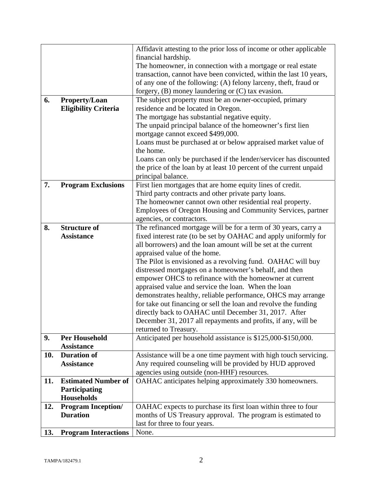|     |                             | Affidavit attesting to the prior loss of income or other applicable |  |
|-----|-----------------------------|---------------------------------------------------------------------|--|
|     |                             | financial hardship.                                                 |  |
|     |                             | The homeowner, in connection with a mortgage or real estate         |  |
|     |                             | transaction, cannot have been convicted, within the last 10 years,  |  |
|     |                             | of any one of the following: (A) felony larceny, theft, fraud or    |  |
|     |                             | forgery, $(B)$ money laundering or $(C)$ tax evasion.               |  |
| 6.  | Property/Loan               | The subject property must be an owner-occupied, primary             |  |
|     | <b>Eligibility Criteria</b> | residence and be located in Oregon.                                 |  |
|     |                             | The mortgage has substantial negative equity.                       |  |
|     |                             | The unpaid principal balance of the homeowner's first lien          |  |
|     |                             | mortgage cannot exceed \$499,000.                                   |  |
|     |                             | Loans must be purchased at or below appraised market value of       |  |
|     |                             | the home.                                                           |  |
|     |                             | Loans can only be purchased if the lender/servicer has discounted   |  |
|     |                             | the price of the loan by at least 10 percent of the current unpaid  |  |
|     |                             | principal balance.                                                  |  |
| 7.  | <b>Program Exclusions</b>   | First lien mortgages that are home equity lines of credit.          |  |
|     |                             | Third party contracts and other private party loans.                |  |
|     |                             | The homeowner cannot own other residential real property.           |  |
|     |                             | Employees of Oregon Housing and Community Services, partner         |  |
|     |                             | agencies, or contractors.                                           |  |
| 8.  | <b>Structure of</b>         | The refinanced mortgage will be for a term of 30 years, carry a     |  |
|     | <b>Assistance</b>           | fixed interest rate (to be set by OAHAC and apply uniformly for     |  |
|     |                             | all borrowers) and the loan amount will be set at the current       |  |
|     |                             | appraised value of the home.                                        |  |
|     |                             | The Pilot is envisioned as a revolving fund. OAHAC will buy         |  |
|     |                             | distressed mortgages on a homeowner's behalf, and then              |  |
|     |                             | empower OHCS to refinance with the homeowner at current             |  |
|     |                             | appraised value and service the loan. When the loan                 |  |
|     |                             | demonstrates healthy, reliable performance, OHCS may arrange        |  |
|     |                             | for take out financing or sell the loan and revolve the funding     |  |
|     |                             | directly back to OAHAC until December 31, 2017. After               |  |
|     |                             | December 31, 2017 all repayments and profits, if any, will be       |  |
|     |                             | returned to Treasury.                                               |  |
| 9.  | <b>Per Household</b>        | Anticipated per household assistance is \$125,000-\$150,000.        |  |
|     | <b>Assistance</b>           |                                                                     |  |
| 10. | <b>Duration of</b>          | Assistance will be a one time payment with high touch servicing.    |  |
|     | <b>Assistance</b>           | Any required counseling will be provided by HUD approved            |  |
|     |                             | agencies using outside (non-HHF) resources.                         |  |
| 11. | <b>Estimated Number of</b>  | OAHAC anticipates helping approximately 330 homeowners.             |  |
|     | Participating               |                                                                     |  |
|     | Households                  |                                                                     |  |
| 12. | <b>Program Inception/</b>   | OAHAC expects to purchase its first loan within three to four       |  |
|     | <b>Duration</b>             | months of US Treasury approval. The program is estimated to         |  |
|     |                             | last for three to four years.                                       |  |
| 13. | <b>Program Interactions</b> | None.                                                               |  |